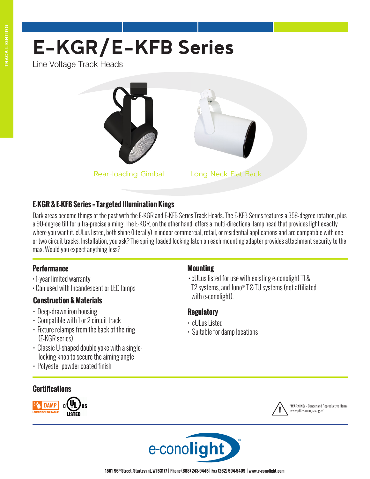# **E-KGR/E-KFB Series**

Line Voltage Track Heads





# **E-KGR & E-KFB Series = Targeted Illumination Kings**

Dark areas become things of the past with the E-KGR and E-KFB Series Track Heads. The E-KFB Series features a 358-degree rotation, plus a 90-degree tilt for ultra-precise aiming. The E-KGR, on the other hand, offers a multi-directional lamp head that provides light exactly where you want it. cULus listed, both shine (literally) in indoor commercial, retail, or residential applications and are compatible with one or two circuit tracks. Installation, you ask? The spring-loaded locking latch on each mounting adapter provides attachment security to the max. Would you expect anything less?

#### **Performance**

- 1-year limited warranty
- Can used with Incandescent or LED lamps

## **Construction & Materials**

- Deep-drawn iron housing
- Compatible with 1 or 2 circuit track
- Fixture relamps from the back of the ring (E-KGR series)
- Classic U-shaped double yoke with a singlelocking knob to secure the aiming angle
- Polyester powder coated finish

## **Certifications**



#### **Mounting**

• cULus listed for use with existing e-conolight T1 & T2 systems, and Juno® T & TU systems (not affiliated with e-conolight).

**"WARNING** - Cancer and Reproductive Harm

www.p65warnings.ca.gov"

## **Regulatory**

- cULus Listed
- Suitable for damp locations